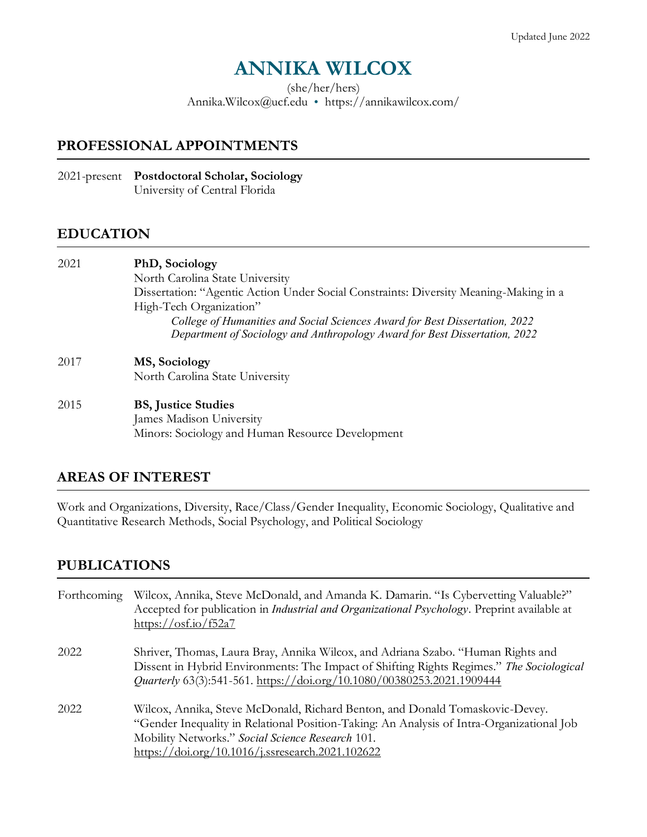# **ANNIKA WILCOX**

(she/her/hers)

Annika.Wilcox@ucf.edu <https://annikawilcox.com/>

### **PROFESSIONAL APPOINTMENTS**

2021-present **Postdoctoral Scholar, Sociology** University of Central Florida

### **EDUCATION**

2021 **PhD, Sociology** North Carolina State University Dissertation: "Agentic Action Under Social Constraints: Diversity Meaning-Making in a High-Tech Organization" *College of Humanities and Social Sciences Award for Best Dissertation, 2022 Department of Sociology and Anthropology Award for Best Dissertation, 2022* 2017 **MS, Sociology**  North Carolina State University 2015 **BS, Justice Studies**

James Madison University Minors: Sociology and Human Resource Development

## **AREAS OF INTEREST**

Work and Organizations, Diversity, Race/Class/Gender Inequality, Economic Sociology, Qualitative and Quantitative Research Methods, Social Psychology, and Political Sociology

## **PUBLICATIONS**

| Forthcoming | Wilcox, Annika, Steve McDonald, and Amanda K. Damarin. "Is Cybervetting Valuable?"<br>Accepted for publication in <i>Industrial and Organizational Psychology</i> . Preprint available at<br>https://osf.io/f52a7                                                                                 |
|-------------|---------------------------------------------------------------------------------------------------------------------------------------------------------------------------------------------------------------------------------------------------------------------------------------------------|
| 2022        | Shriver, Thomas, Laura Bray, Annika Wilcox, and Adriana Szabo. "Human Rights and<br>Dissent in Hybrid Environments: The Impact of Shifting Rights Regimes." The Sociological<br>Quarterly 63(3):541-561. https://doi.org/10.1080/00380253.2021.1909444                                            |
| 2022        | Wilcox, Annika, Steve McDonald, Richard Benton, and Donald Tomaskovic-Devey.<br>"Gender Inequality in Relational Position-Taking: An Analysis of Intra-Organizational Job<br>Mobility Networks." Social Science Research 101.<br>$\frac{\text{https://doi.org/10.1016/j.sresearch.2021.102622}}{$ |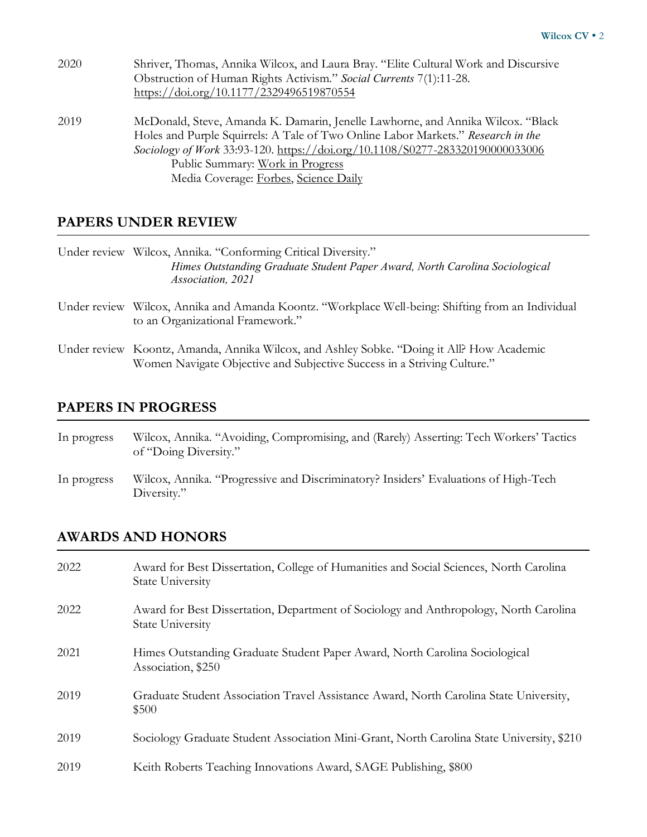| 2020 | Shriver, Thomas, Annika Wilcox, and Laura Bray. "Elite Cultural Work and Discursive |
|------|-------------------------------------------------------------------------------------|
|      | Obstruction of Human Rights Activism." Social Currents 7(1):11-28.                  |
|      | https://doi.org/10.1177/2329496519870554                                            |
| 2019 | McDonald, Steve, Amanda K. Damarin, Jenelle Lawhorne, and Annika Wilcox. "Black     |
|      | Holes and Purple Squirrels: A Tale of Two Online Labor Markets." Research in the    |
|      | Sociology of Work 33:93-120. https://doi.org/10.1108/S0277-283320190000033006       |
|      | Public Summary: Work in Progress                                                    |
|      | Media Coverage: Forbes, Science Daily                                               |

### **PAPERS UNDER REVIEW**

|              | Under review Wilcox, Annika. "Conforming Critical Diversity."<br>Himes Outstanding Graduate Student Paper Award, North Carolina Sociological<br>Association, 2021    |
|--------------|----------------------------------------------------------------------------------------------------------------------------------------------------------------------|
| Under review | Wilcox, Annika and Amanda Koontz. "Workplace Well-being: Shifting from an Individual<br>to an Organizational Framework."                                             |
|              | Under review Koontz, Amanda, Annika Wilcox, and Ashley Sobke. "Doing it All? How Academic<br>Women Navigate Objective and Subjective Success in a Striving Culture." |

## **PAPERS IN PROGRESS**

| In progress | Wilcox, Annika. "Avoiding, Compromising, and (Rarely) Asserting: Tech Workers' Tactics |
|-------------|----------------------------------------------------------------------------------------|
|             | of "Doing Diversity."                                                                  |
|             |                                                                                        |

In progress Wilcox, Annika. "Progressive and Discriminatory? Insiders' Evaluations of High-Tech Diversity."

## **AWARDS AND HONORS**

| 2022 | Award for Best Dissertation, College of Humanities and Social Sciences, North Carolina<br><b>State University</b> |
|------|-------------------------------------------------------------------------------------------------------------------|
| 2022 | Award for Best Dissertation, Department of Sociology and Anthropology, North Carolina<br><b>State University</b>  |
| 2021 | Himes Outstanding Graduate Student Paper Award, North Carolina Sociological<br>Association, \$250                 |
| 2019 | Graduate Student Association Travel Assistance Award, North Carolina State University,<br>\$500                   |
| 2019 | Sociology Graduate Student Association Mini-Grant, North Carolina State University, \$210                         |
| 2019 | Keith Roberts Teaching Innovations Award, SAGE Publishing, \$800                                                  |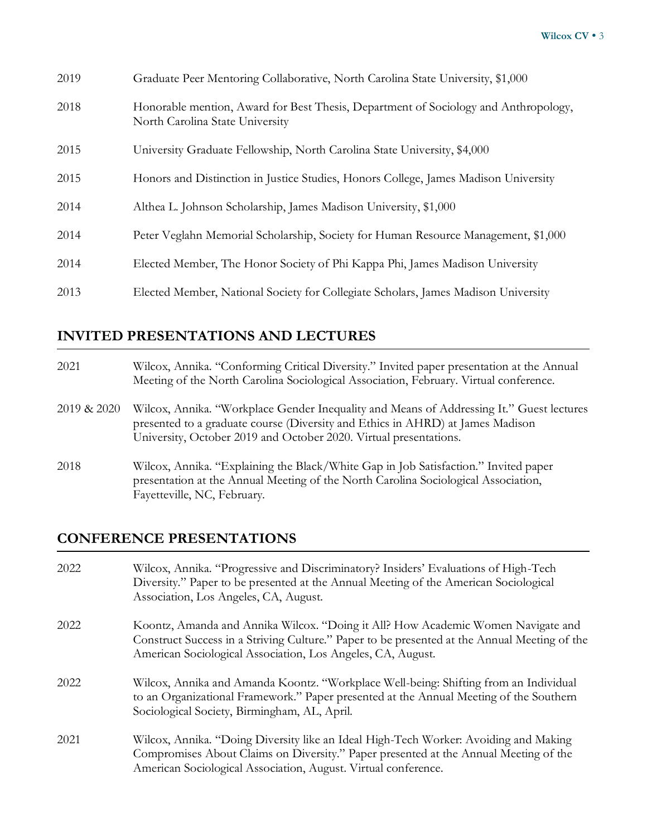| 2019 | Graduate Peer Mentoring Collaborative, North Carolina State University, \$1,000                                        |
|------|------------------------------------------------------------------------------------------------------------------------|
| 2018 | Honorable mention, Award for Best Thesis, Department of Sociology and Anthropology,<br>North Carolina State University |
| 2015 | University Graduate Fellowship, North Carolina State University, \$4,000                                               |
| 2015 | Honors and Distinction in Justice Studies, Honors College, James Madison University                                    |
| 2014 | Althea L. Johnson Scholarship, James Madison University, \$1,000                                                       |
| 2014 | Peter Veglahn Memorial Scholarship, Society for Human Resource Management, \$1,000                                     |
| 2014 | Elected Member, The Honor Society of Phi Kappa Phi, James Madison University                                           |
| 2013 | Elected Member, National Society for Collegiate Scholars, James Madison University                                     |

## **INVITED PRESENTATIONS AND LECTURES**

- 2021 Wilcox, Annika. "Conforming Critical Diversity." Invited paper presentation at the Annual Meeting of the North Carolina Sociological Association, February. Virtual conference.
- 2019 & 2020 Wilcox, Annika. "Workplace Gender Inequality and Means of Addressing It." Guest lectures presented to a graduate course (Diversity and Ethics in AHRD) at James Madison University, October 2019 and October 2020. Virtual presentations.
- 2018 Wilcox, Annika. "Explaining the Black/White Gap in Job Satisfaction." Invited paper presentation at the Annual Meeting of the North Carolina Sociological Association, Fayetteville, NC, February.

## **CONFERENCE PRESENTATIONS**

2022 Wilcox, Annika. "Progressive and Discriminatory? Insiders' Evaluations of High-Tech Diversity." Paper to be presented at the Annual Meeting of the American Sociological Association, Los Angeles, CA, August. 2022 Koontz, Amanda and Annika Wilcox. "Doing it All? How Academic Women Navigate and Construct Success in a Striving Culture." Paper to be presented at the Annual Meeting of the American Sociological Association, Los Angeles, CA, August. 2022 Wilcox, Annika and Amanda Koontz. "Workplace Well-being: Shifting from an Individual to an Organizational Framework." Paper presented at the Annual Meeting of the Southern Sociological Society, Birmingham, AL, April. 2021 Wilcox, Annika. "Doing Diversity like an Ideal High-Tech Worker: Avoiding and Making Compromises About Claims on Diversity." Paper presented at the Annual Meeting of the American Sociological Association, August. Virtual conference.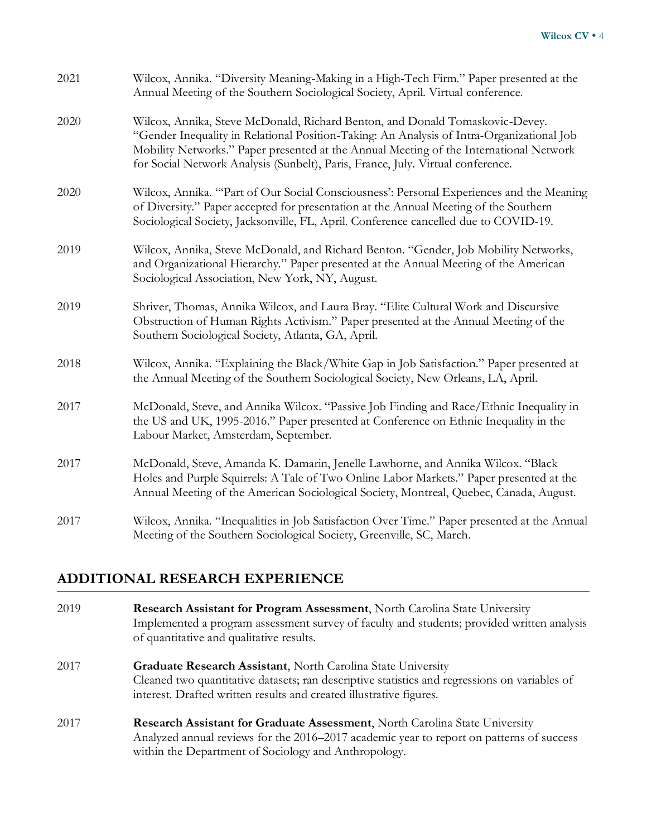| 2021 | Wilcox, Annika. "Diversity Meaning-Making in a High-Tech Firm." Paper presented at the<br>Annual Meeting of the Southern Sociological Society, April. Virtual conference.                                                                                                                                                                              |
|------|--------------------------------------------------------------------------------------------------------------------------------------------------------------------------------------------------------------------------------------------------------------------------------------------------------------------------------------------------------|
| 2020 | Wilcox, Annika, Steve McDonald, Richard Benton, and Donald Tomaskovic-Devey.<br>"Gender Inequality in Relational Position-Taking: An Analysis of Intra-Organizational Job<br>Mobility Networks." Paper presented at the Annual Meeting of the International Network<br>for Social Network Analysis (Sunbelt), Paris, France, July. Virtual conference. |
| 2020 | Wilcox, Annika. "Part of Our Social Consciousness': Personal Experiences and the Meaning<br>of Diversity." Paper accepted for presentation at the Annual Meeting of the Southern<br>Sociological Society, Jacksonville, FL, April. Conference cancelled due to COVID-19.                                                                               |
| 2019 | Wilcox, Annika, Steve McDonald, and Richard Benton. "Gender, Job Mobility Networks,<br>and Organizational Hierarchy." Paper presented at the Annual Meeting of the American<br>Sociological Association, New York, NY, August.                                                                                                                         |
| 2019 | Shriver, Thomas, Annika Wilcox, and Laura Bray. "Elite Cultural Work and Discursive<br>Obstruction of Human Rights Activism." Paper presented at the Annual Meeting of the<br>Southern Sociological Society, Atlanta, GA, April.                                                                                                                       |
| 2018 | Wilcox, Annika. "Explaining the Black/White Gap in Job Satisfaction." Paper presented at<br>the Annual Meeting of the Southern Sociological Society, New Orleans, LA, April.                                                                                                                                                                           |
| 2017 | McDonald, Steve, and Annika Wilcox. "Passive Job Finding and Race/Ethnic Inequality in<br>the US and UK, 1995-2016." Paper presented at Conference on Ethnic Inequality in the<br>Labour Market, Amsterdam, September.                                                                                                                                 |
| 2017 | McDonald, Steve, Amanda K. Damarin, Jenelle Lawhorne, and Annika Wilcox. "Black<br>Holes and Purple Squirrels: A Tale of Two Online Labor Markets." Paper presented at the<br>Annual Meeting of the American Sociological Society, Montreal, Quebec, Canada, August.                                                                                   |
| 2017 | Wilcox, Annika. "Inequalities in Job Satisfaction Over Time." Paper presented at the Annual<br>Meeting of the Southern Sociological Society, Greenville, SC, March.                                                                                                                                                                                    |

## **ADDITIONAL RESEARCH EXPERIENCE**

| 2019 | <b>Research Assistant for Program Assessment, North Carolina State University</b>          |
|------|--------------------------------------------------------------------------------------------|
|      | Implemented a program assessment survey of faculty and students; provided written analysis |
|      | of quantitative and qualitative results.                                                   |
|      |                                                                                            |

- 2017 **Graduate Research Assistant**, North Carolina State University Cleaned two quantitative datasets; ran descriptive statistics and regressions on variables of interest. Drafted written results and created illustrative figures.
- 2017 **Research Assistant for Graduate Assessment**, North Carolina State University Analyzed annual reviews for the 2016–2017 academic year to report on patterns of success within the Department of Sociology and Anthropology.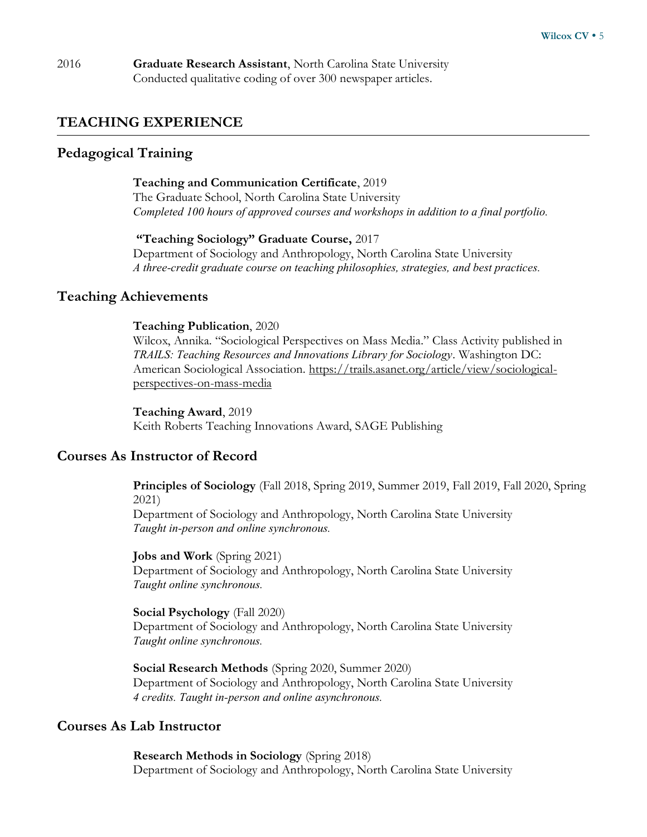### **TEACHING EXPERIENCE**

### **Pedagogical Training**

#### **Teaching and Communication Certificate**, 2019

The Graduate School, North Carolina State University *Completed 100 hours of approved courses and workshops in addition to a final portfolio.*

#### **"Teaching Sociology" Graduate Course,** 2017

Department of Sociology and Anthropology, North Carolina State University *A three-credit graduate course on teaching philosophies, strategies, and best practices.* 

### **Teaching Achievements**

#### **Teaching Publication**, 2020

Wilcox, Annika. "Sociological Perspectives on Mass Media." Class Activity published in *TRAILS: Teaching Resources and Innovations Library for Sociology*. Washington DC: American Sociological Association. [https://trails.asanet.org/article/view/sociological](https://trails.asanet.org/article/view/sociological-perspectives-on-mass-media)[perspectives-on-mass-media](https://trails.asanet.org/article/view/sociological-perspectives-on-mass-media)

**Teaching Award**, 2019 Keith Roberts Teaching Innovations Award, SAGE Publishing

### **Courses As Instructor of Record**

**Principles of Sociology** (Fall 2018, Spring 2019, Summer 2019, Fall 2019, Fall 2020, Spring 2021)

Department of Sociology and Anthropology, North Carolina State University *Taught in-person and online synchronous.* 

**Jobs and Work** (Spring 2021) Department of Sociology and Anthropology, North Carolina State University *Taught online synchronous.*

**Social Psychology** (Fall 2020) Department of Sociology and Anthropology, North Carolina State University *Taught online synchronous.*

**Social Research Methods** (Spring 2020, Summer 2020) Department of Sociology and Anthropology, North Carolina State University *4 credits. Taught in-person and online asynchronous.* 

#### **Courses As Lab Instructor**

**Research Methods in Sociology** (Spring 2018) Department of Sociology and Anthropology, North Carolina State University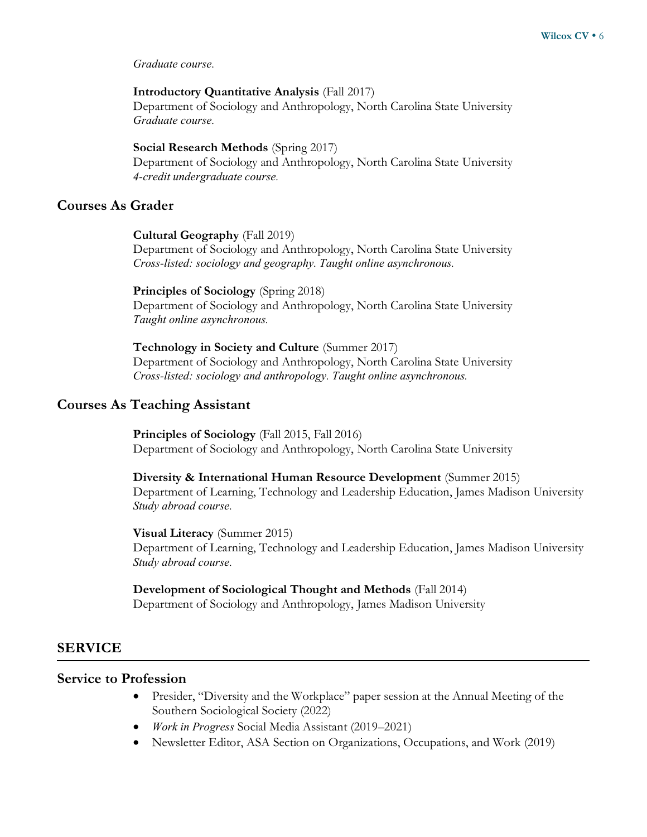*Graduate course.*

#### **Introductory Quantitative Analysis** (Fall 2017)

Department of Sociology and Anthropology, North Carolina State University *Graduate course.*

#### **Social Research Methods** (Spring 2017)

Department of Sociology and Anthropology, North Carolina State University *4-credit undergraduate course.*

#### **Courses As Grader**

**Cultural Geography** (Fall 2019)

Department of Sociology and Anthropology, North Carolina State University *Cross-listed: sociology and geography. Taught online asynchronous.* 

#### **Principles of Sociology** (Spring 2018)

Department of Sociology and Anthropology, North Carolina State University *Taught online asynchronous.*

**Technology in Society and Culture** (Summer 2017) Department of Sociology and Anthropology, North Carolina State University *Cross-listed: sociology and anthropology. Taught online asynchronous.*

#### **Courses As Teaching Assistant**

**Principles of Sociology** (Fall 2015, Fall 2016) Department of Sociology and Anthropology, North Carolina State University

**Diversity & International Human Resource Development** (Summer 2015) Department of Learning, Technology and Leadership Education, James Madison University *Study abroad course.* 

**Visual Literacy** (Summer 2015) Department of Learning, Technology and Leadership Education, James Madison University *Study abroad course.* 

**Development of Sociological Thought and Methods** (Fall 2014) Department of Sociology and Anthropology, James Madison University

#### **SERVICE**

#### **Service to Profession**

- Presider, "Diversity and the Workplace" paper session at the Annual Meeting of the Southern Sociological Society (2022)
- *Work in Progress* Social Media Assistant (2019–2021)
- Newsletter Editor, ASA Section on Organizations, Occupations, and Work (2019)